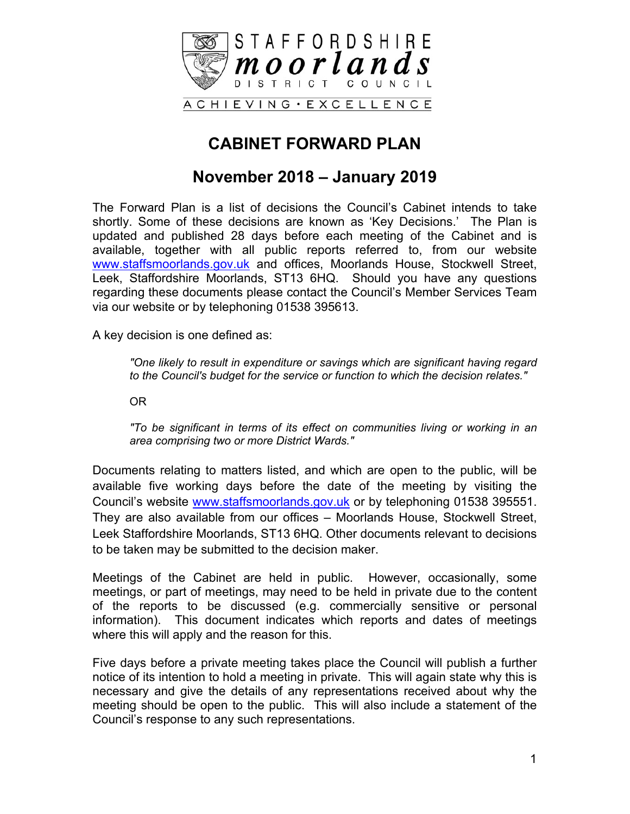

## **CABINET FORWARD PLAN**

#### **November 2018 – January 2019**

The Forward Plan is a list of decisions the Council's Cabinet intends to take shortly. Some of these decisions are known as 'Key Decisions.' The Plan is updated and published 28 days before each meeting of the Cabinet and is available, together with all public reports referred to, from our website [www.staffsmoorlands.gov.uk](http://www.staffsmoorlands.gov.uk/) and offices, Moorlands House, Stockwell Street, Leek, Staffordshire Moorlands, ST13 6HQ. Should you have any questions regarding these documents please contact the Council's Member Services Team via our website or by telephoning 01538 395613.

A key decision is one defined as:

*"One likely to result in expenditure or savings which are significant having regard to the Council's budget for the service or function to which the decision relates."*

OR

*"To be significant in terms of its effect on communities living or working in an area comprising two or more District Wards."*

Documents relating to matters listed, and which are open to the public, will be available five working days before the date of the meeting by visiting the Council's website [www.staffsmoorlands.gov.uk](http://www.staffsmoorlands.gov.uk/) or by telephoning 01538 395551. They are also available from our offices – Moorlands House, Stockwell Street, Leek Staffordshire Moorlands, ST13 6HQ. Other documents relevant to decisions to be taken may be submitted to the decision maker.

Meetings of the Cabinet are held in public. However, occasionally, some meetings, or part of meetings, may need to be held in private due to the content of the reports to be discussed (e.g. commercially sensitive or personal information). This document indicates which reports and dates of meetings where this will apply and the reason for this.

Five days before a private meeting takes place the Council will publish a further notice of its intention to hold a meeting in private. This will again state why this is necessary and give the details of any representations received about why the meeting should be open to the public. This will also include a statement of the Council's response to any such representations.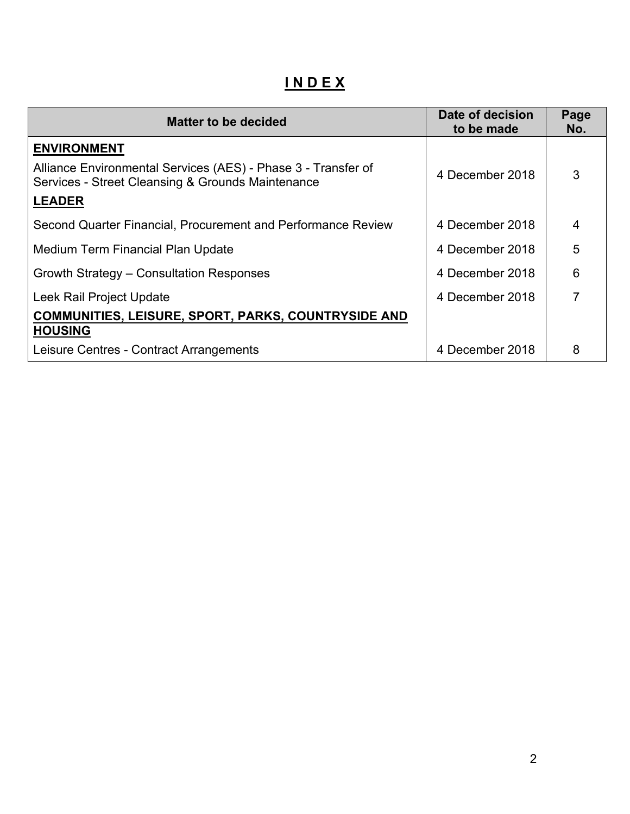**I N D E X**

| <b>Matter to be decided</b>                                                                                        | Date of decision<br>to be made | Page<br>No.    |
|--------------------------------------------------------------------------------------------------------------------|--------------------------------|----------------|
| <b>ENVIRONMENT</b>                                                                                                 |                                |                |
| Alliance Environmental Services (AES) - Phase 3 - Transfer of<br>Services - Street Cleansing & Grounds Maintenance | 4 December 2018                | 3              |
| <b>LEADER</b>                                                                                                      |                                |                |
| Second Quarter Financial, Procurement and Performance Review                                                       | 4 December 2018                | 4              |
| Medium Term Financial Plan Update                                                                                  | 4 December 2018                | 5              |
| Growth Strategy – Consultation Responses                                                                           | 4 December 2018                | 6              |
| Leek Rail Project Update                                                                                           | 4 December 2018                | $\overline{7}$ |
| <b>COMMUNITIES, LEISURE, SPORT, PARKS, COUNTRYSIDE AND</b><br><b>HOUSING</b>                                       |                                |                |
| Leisure Centres - Contract Arrangements                                                                            | 4 December 2018                | 8              |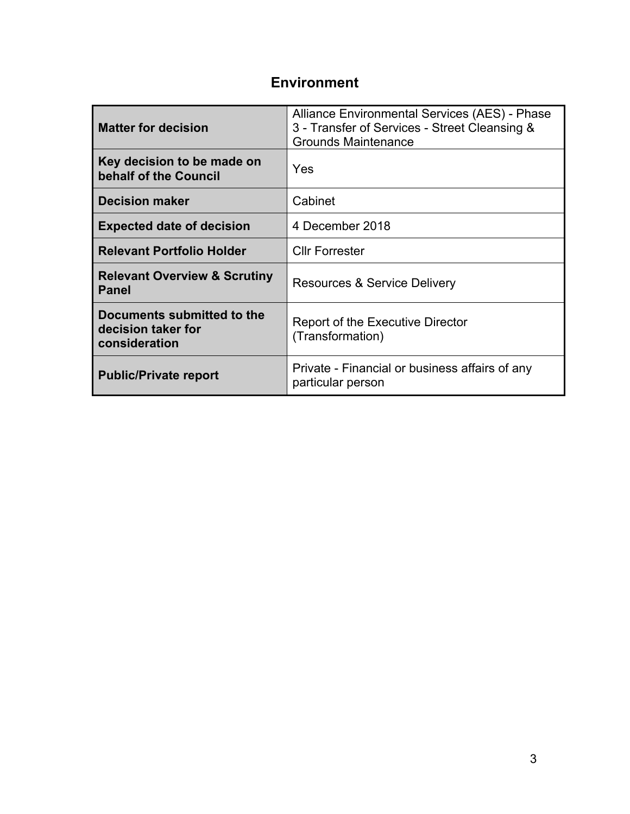#### **Environment**

| <b>Matter for decision</b>                                        | Alliance Environmental Services (AES) - Phase<br>3 - Transfer of Services - Street Cleansing &<br><b>Grounds Maintenance</b> |
|-------------------------------------------------------------------|------------------------------------------------------------------------------------------------------------------------------|
| Key decision to be made on<br>behalf of the Council               | Yes                                                                                                                          |
| <b>Decision maker</b>                                             | Cabinet                                                                                                                      |
| <b>Expected date of decision</b>                                  | 4 December 2018                                                                                                              |
| <b>Relevant Portfolio Holder</b>                                  | <b>Cllr Forrester</b>                                                                                                        |
| <b>Relevant Overview &amp; Scrutiny</b><br><b>Panel</b>           | <b>Resources &amp; Service Delivery</b>                                                                                      |
| Documents submitted to the<br>decision taker for<br>consideration | <b>Report of the Executive Director</b><br>(Transformation)                                                                  |
| <b>Public/Private report</b>                                      | Private - Financial or business affairs of any<br>particular person                                                          |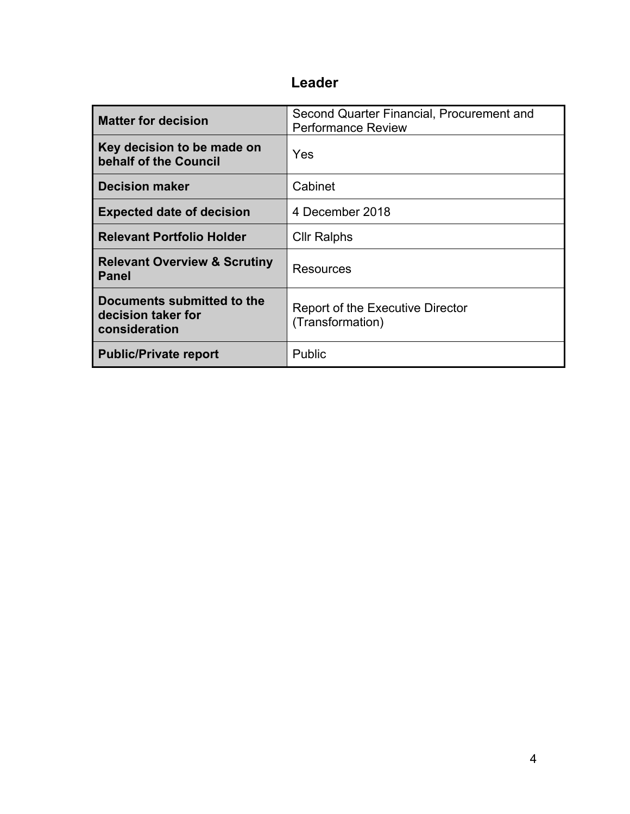| <b>Matter for decision</b>                                        | Second Quarter Financial, Procurement and<br><b>Performance Review</b> |
|-------------------------------------------------------------------|------------------------------------------------------------------------|
| Key decision to be made on<br>behalf of the Council               | Yes                                                                    |
| <b>Decision maker</b>                                             | Cabinet                                                                |
| <b>Expected date of decision</b>                                  | 4 December 2018                                                        |
| <b>Relevant Portfolio Holder</b>                                  | <b>Cllr Ralphs</b>                                                     |
| <b>Relevant Overview &amp; Scrutiny</b><br><b>Panel</b>           | Resources                                                              |
| Documents submitted to the<br>decision taker for<br>consideration | <b>Report of the Executive Director</b><br>(Transformation)            |
| <b>Public/Private report</b>                                      | Public                                                                 |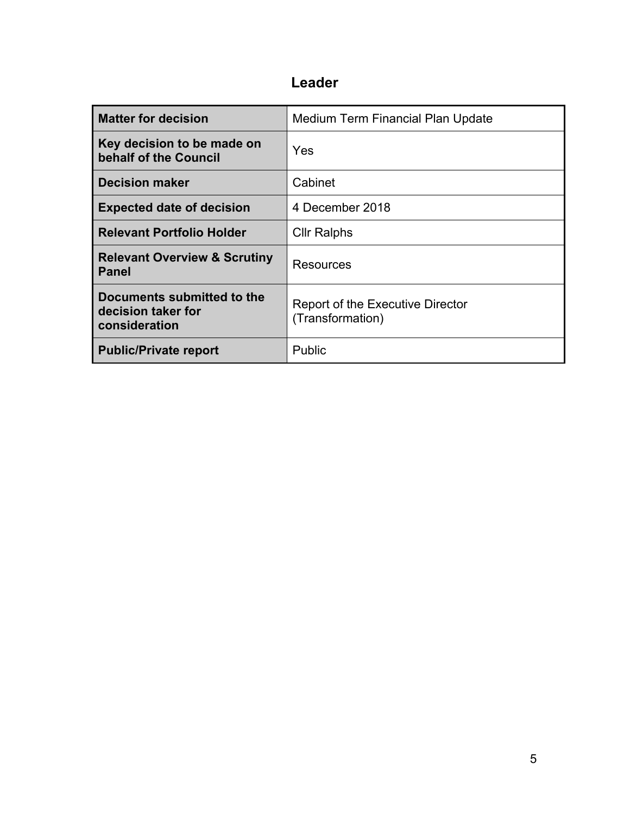| <b>Matter for decision</b>                                        | Medium Term Financial Plan Update                           |
|-------------------------------------------------------------------|-------------------------------------------------------------|
| Key decision to be made on<br>behalf of the Council               | Yes                                                         |
| <b>Decision maker</b>                                             | Cabinet                                                     |
| <b>Expected date of decision</b>                                  | 4 December 2018                                             |
| <b>Relevant Portfolio Holder</b>                                  | <b>Cllr Ralphs</b>                                          |
| <b>Relevant Overview &amp; Scrutiny</b><br><b>Panel</b>           | Resources                                                   |
| Documents submitted to the<br>decision taker for<br>consideration | <b>Report of the Executive Director</b><br>(Transformation) |
| <b>Public/Private report</b>                                      | Public                                                      |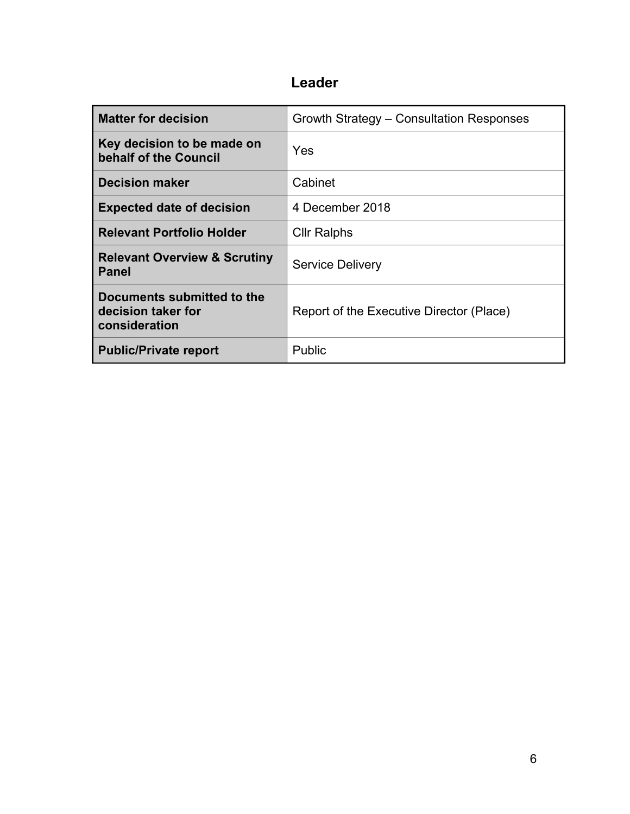| <b>Matter for decision</b>                                        | Growth Strategy – Consultation Responses |
|-------------------------------------------------------------------|------------------------------------------|
| Key decision to be made on<br>behalf of the Council               | Yes                                      |
| <b>Decision maker</b>                                             | Cabinet                                  |
| <b>Expected date of decision</b>                                  | 4 December 2018                          |
| <b>Relevant Portfolio Holder</b>                                  | <b>Cllr Ralphs</b>                       |
| <b>Relevant Overview &amp; Scrutiny</b><br><b>Panel</b>           | <b>Service Delivery</b>                  |
| Documents submitted to the<br>decision taker for<br>consideration | Report of the Executive Director (Place) |
| <b>Public/Private report</b>                                      | Public                                   |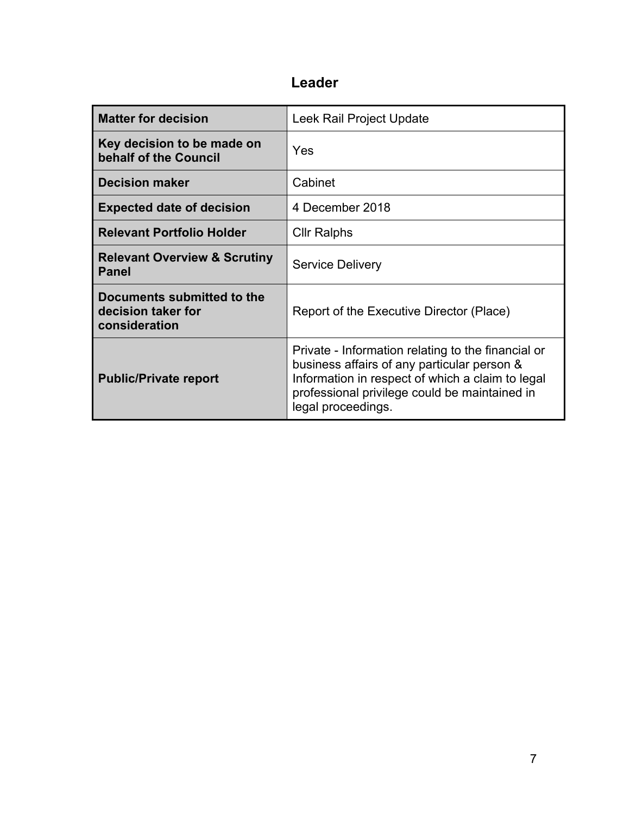| <b>Matter for decision</b>                                        | Leek Rail Project Update                                                                                                                                                                                                     |
|-------------------------------------------------------------------|------------------------------------------------------------------------------------------------------------------------------------------------------------------------------------------------------------------------------|
| Key decision to be made on<br>behalf of the Council               | Yes                                                                                                                                                                                                                          |
| <b>Decision maker</b>                                             | Cabinet                                                                                                                                                                                                                      |
| <b>Expected date of decision</b>                                  | 4 December 2018                                                                                                                                                                                                              |
| <b>Relevant Portfolio Holder</b>                                  | <b>Cllr Ralphs</b>                                                                                                                                                                                                           |
| <b>Relevant Overview &amp; Scrutiny</b><br><b>Panel</b>           | <b>Service Delivery</b>                                                                                                                                                                                                      |
| Documents submitted to the<br>decision taker for<br>consideration | Report of the Executive Director (Place)                                                                                                                                                                                     |
| <b>Public/Private report</b>                                      | Private - Information relating to the financial or<br>business affairs of any particular person &<br>Information in respect of which a claim to legal<br>professional privilege could be maintained in<br>legal proceedings. |